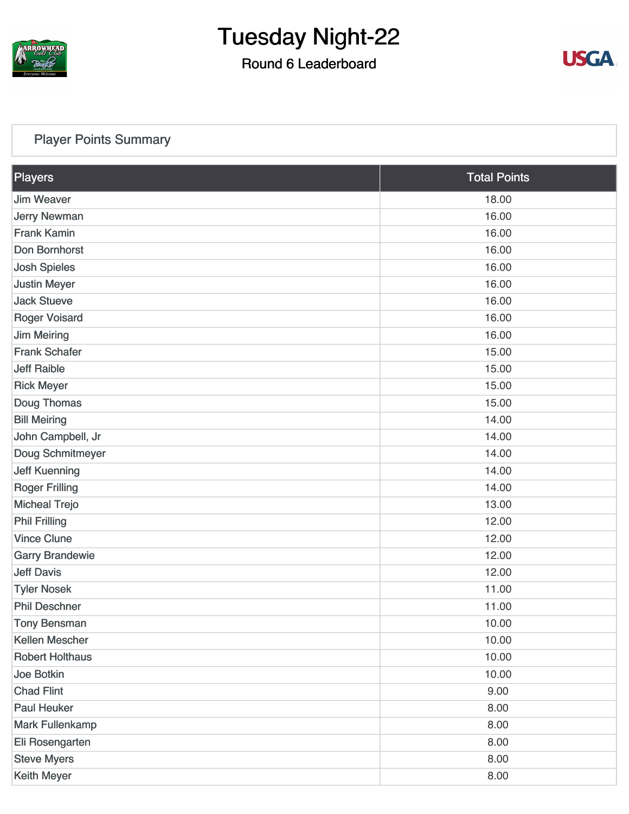

### Round 6 Leaderboard



### [Player Points Summary](https://static.golfgenius.com/v2tournaments/total_points?league_id=8105993687684621485&round_id=8105995543009830114)

| <b>Players</b>         | <b>Total Points</b> |
|------------------------|---------------------|
| <b>Jim Weaver</b>      | 18.00               |
| <b>Jerry Newman</b>    | 16.00               |
| <b>Frank Kamin</b>     | 16.00               |
| Don Bornhorst          | 16.00               |
| <b>Josh Spieles</b>    | 16.00               |
| <b>Justin Meyer</b>    | 16.00               |
| <b>Jack Stueve</b>     | 16.00               |
| <b>Roger Voisard</b>   | 16.00               |
| <b>Jim Meiring</b>     | 16.00               |
| <b>Frank Schafer</b>   | 15.00               |
| <b>Jeff Raible</b>     | 15.00               |
| <b>Rick Meyer</b>      | 15.00               |
| Doug Thomas            | 15.00               |
| <b>Bill Meiring</b>    | 14.00               |
| John Campbell, Jr      | 14.00               |
| Doug Schmitmeyer       | 14.00               |
| <b>Jeff Kuenning</b>   | 14.00               |
| <b>Roger Frilling</b>  | 14.00               |
| <b>Micheal Trejo</b>   | 13.00               |
| <b>Phil Frilling</b>   | 12.00               |
| <b>Vince Clune</b>     | 12.00               |
| <b>Garry Brandewie</b> | 12.00               |
| <b>Jeff Davis</b>      | 12.00               |
| <b>Tyler Nosek</b>     | 11.00               |
| <b>Phil Deschner</b>   | 11.00               |
| <b>Tony Bensman</b>    | 10.00               |
| Kellen Mescher         | 10.00               |
| <b>Robert Holthaus</b> | 10.00               |
| Joe Botkin             | 10.00               |
| <b>Chad Flint</b>      | 9.00                |
| <b>Paul Heuker</b>     | 8.00                |
| <b>Mark Fullenkamp</b> | 8.00                |
| Eli Rosengarten        | 8.00                |
| <b>Steve Myers</b>     | 8.00                |
| Keith Meyer            | 8.00                |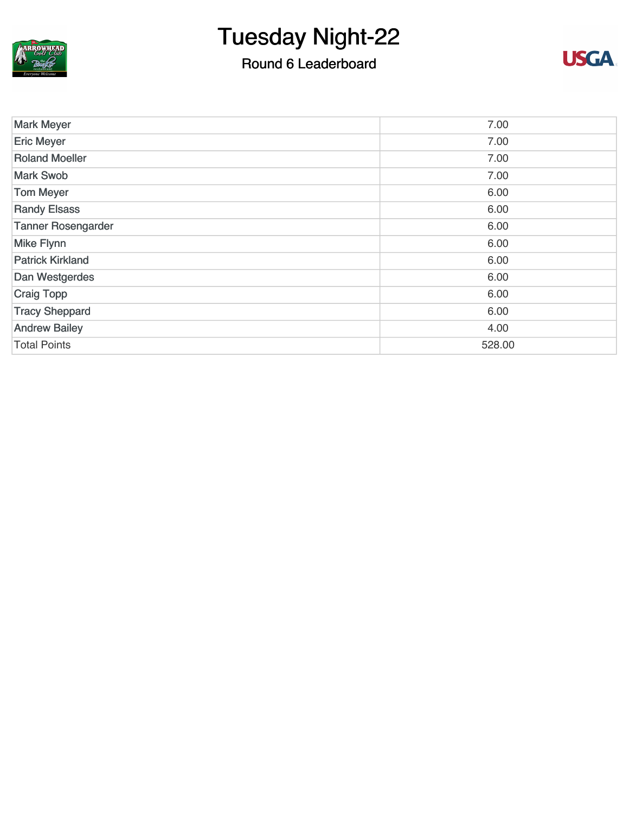

### Round 6 Leaderboard



| <b>Mark Meyer</b>         | 7.00   |
|---------------------------|--------|
| <b>Eric Meyer</b>         | 7.00   |
| <b>Roland Moeller</b>     | 7.00   |
| <b>Mark Swob</b>          | 7.00   |
| <b>Tom Meyer</b>          | 6.00   |
| <b>Randy Elsass</b>       | 6.00   |
| <b>Tanner Rosengarder</b> | 6.00   |
| <b>Mike Flynn</b>         | 6.00   |
| <b>Patrick Kirkland</b>   | 6.00   |
| Dan Westgerdes            | 6.00   |
| <b>Craig Topp</b>         | 6.00   |
| <b>Tracy Sheppard</b>     | 6.00   |
| <b>Andrew Bailey</b>      | 4.00   |
| <b>Total Points</b>       | 528.00 |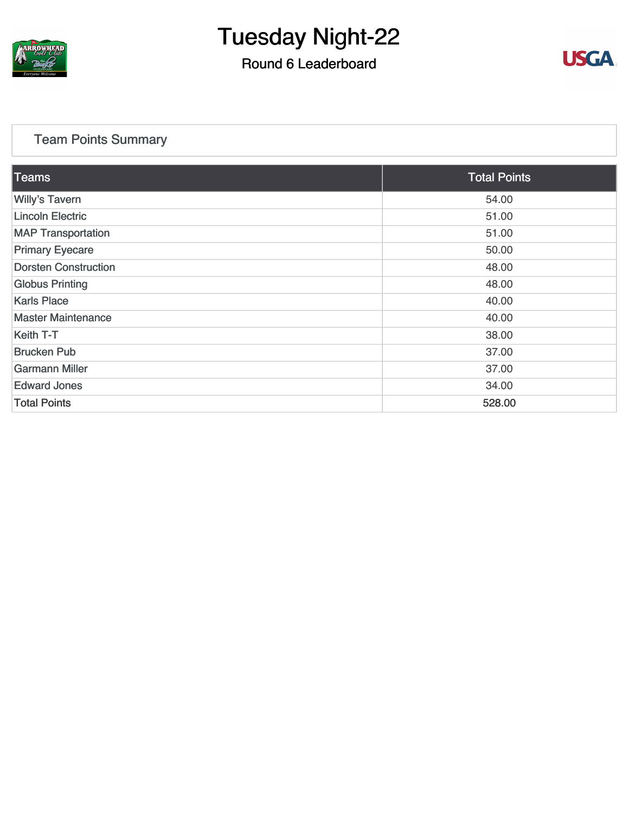

### Round 6 Leaderboard



### [Team Points Summary](https://static.golfgenius.com/v2tournaments/team_points?league_id=8105993687684621485&round_id=8105995543009830114)

| <b>Teams</b>                | <b>Total Points</b> |
|-----------------------------|---------------------|
| <b>Willy's Tavern</b>       | 54.00               |
| <b>Lincoln Electric</b>     | 51.00               |
| <b>MAP Transportation</b>   | 51.00               |
| <b>Primary Eyecare</b>      | 50.00               |
| <b>Dorsten Construction</b> | 48.00               |
| <b>Globus Printing</b>      | 48.00               |
| <b>Karls Place</b>          | 40.00               |
| <b>Master Maintenance</b>   | 40.00               |
| Keith T-T                   | 38.00               |
| <b>Brucken Pub</b>          | 37.00               |
| <b>Garmann Miller</b>       | 37.00               |
| <b>Edward Jones</b>         | 34.00               |
| <b>Total Points</b>         | 528.00              |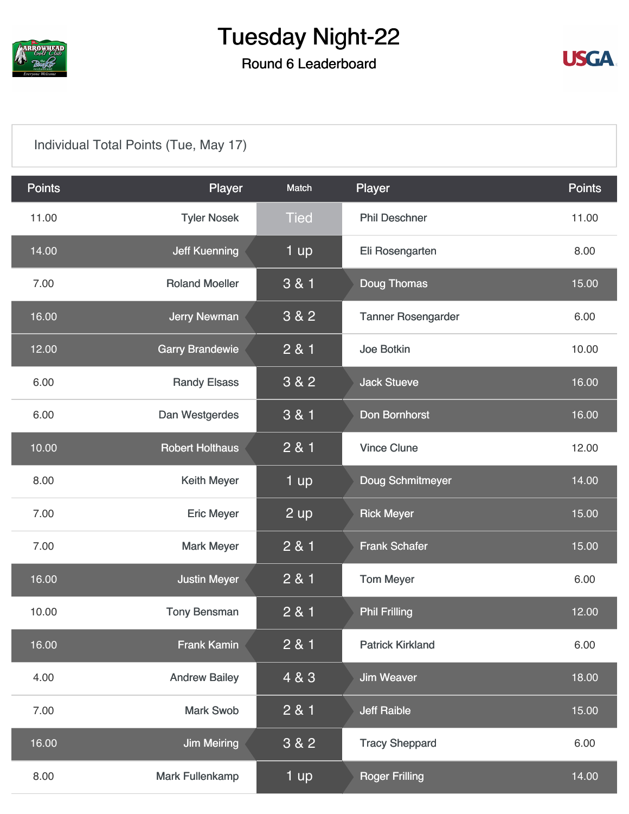

### Round 6 Leaderboard



### [Individual Total Points \(Tue, May 17\)](https://static.golfgenius.com/v2tournaments/8105996020724278455?called_from=&round_index=6)

| <b>Points</b> | Player                 | Match       | Player                    | <b>Points</b> |
|---------------|------------------------|-------------|---------------------------|---------------|
| 11.00         | <b>Tyler Nosek</b>     | <b>Tied</b> | <b>Phil Deschner</b>      | 11.00         |
| 14.00         | <b>Jeff Kuenning</b>   | 1 up        | Eli Rosengarten           | 8.00          |
| 7.00          | <b>Roland Moeller</b>  | 3 & 1       | <b>Doug Thomas</b>        | 15.00         |
| 16.00         | <b>Jerry Newman</b>    | 3 & 2       | <b>Tanner Rosengarder</b> | 6.00          |
| 12.00         | <b>Garry Brandewie</b> | 2 & 1       | Joe Botkin                | 10.00         |
| 6.00          | <b>Randy Elsass</b>    | 3 & 2       | <b>Jack Stueve</b>        | 16.00         |
| 6.00          | Dan Westgerdes         | 3 & 1       | Don Bornhorst             | 16.00         |
| 10.00         | <b>Robert Holthaus</b> | 2 & 1       | <b>Vince Clune</b>        | 12.00         |
| 8.00          | <b>Keith Meyer</b>     | 1 up        | Doug Schmitmeyer          | 14.00         |
| 7.00          | <b>Eric Meyer</b>      | 2 up        | <b>Rick Meyer</b>         | 15.00         |
| 7.00          | <b>Mark Meyer</b>      | 2 & 1       | <b>Frank Schafer</b>      | 15.00         |
| 16.00         | <b>Justin Meyer</b>    | 2 & 1       | <b>Tom Meyer</b>          | 6.00          |
| 10.00         | <b>Tony Bensman</b>    | 2 & 1       | <b>Phil Frilling</b>      | 12.00         |
| 16.00         | <b>Frank Kamin</b>     | 2 & 1       | <b>Patrick Kirkland</b>   | 6.00          |
| 4.00          | <b>Andrew Bailey</b>   | 4 & 3       | <b>Jim Weaver</b>         | 18.00         |
| 7.00          | <b>Mark Swob</b>       | 2 & 1       | <b>Jeff Raible</b>        | 15.00         |
| 16.00         | <b>Jim Meiring</b>     | 3 & 2       | <b>Tracy Sheppard</b>     | 6.00          |
| 8.00          | <b>Mark Fullenkamp</b> | 1 up        | <b>Roger Frilling</b>     | 14.00         |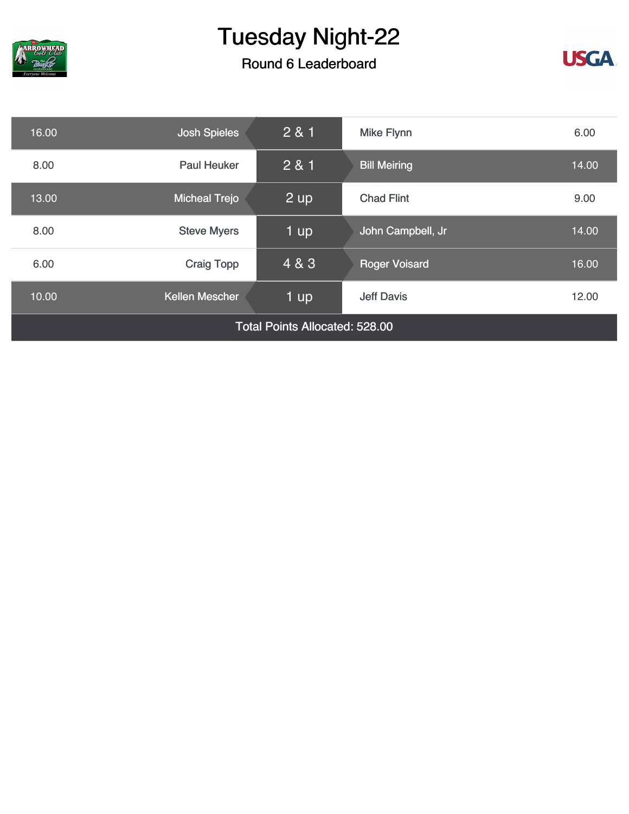

### Round 6 Leaderboard



| 16.00                                 | <b>Josh Spieles</b>  | 2 & 1 | <b>Mike Flynn</b>    | 6.00  |
|---------------------------------------|----------------------|-------|----------------------|-------|
| 8.00                                  | Paul Heuker          | 2 & 1 | <b>Bill Meiring</b>  | 14.00 |
| 13.00                                 | <b>Micheal Trejo</b> | 2 up  | <b>Chad Flint</b>    | 9.00  |
| 8.00                                  | <b>Steve Myers</b>   | 1 up  | John Campbell, Jr    | 14.00 |
| 6.00                                  | <b>Craig Topp</b>    | 4 & 3 | <b>Roger Voisard</b> | 16.00 |
| 10.00                                 | Kellen Mescher       | 1 up  | <b>Jeff Davis</b>    | 12.00 |
| <b>Total Points Allocated: 528.00</b> |                      |       |                      |       |